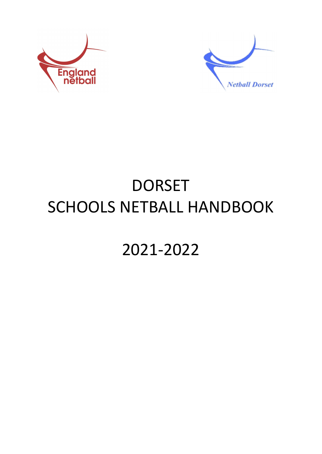



# DORSET SCHOOLS NETBALL HANDBOOK

## 2021-2022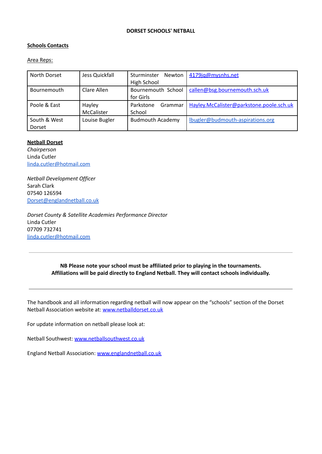#### **DORSET SCHOOLS' NETBALL**

#### **Schools Contacts**

#### Area Reps:

| North Dorset | Jess Quickfall | Sturminster<br>Newton<br>High School | 4179ia@mysnhs.net                        |
|--------------|----------------|--------------------------------------|------------------------------------------|
|              |                |                                      |                                          |
| Bournemouth  | Clare Allen    | Bournemouth School                   | callen@bsg.bournemouth.sch.uk            |
|              |                | for Girls                            |                                          |
| Poole & East | Hayley         | Parkstone<br>Grammar                 | Hayley.McCalister@parkstone.poole.sch.uk |
|              | McCalister     | School                               |                                          |
| South & West | Louise Bugler  | <b>Budmouth Academy</b>              | lbugler@budmouth-aspirations.org         |
| Dorset       |                |                                      |                                          |

#### **Netball Dorset**

*Chairperson* Linda Cutler [linda.cutler@hotmail.com](mailto:linda.cutler@hotmail.com)

*Netball Development Officer* Sarah Clark 07540 126594 [Dorset@englandnetball.co.uk](mailto:Karen.Peaty@englandnetball.co.uk)

*Dorset County & Satellite Academies Performance Director* Linda Cutler 07709 732741 [linda.cutler@hotmail.com](mailto:linda.cutler@hotmail.com)

> **NB Please note your school must be affiliated prior to playing in the tournaments. Affiliations will be paid directly to England Netball. They will contact schools individually.**

The handbook and all information regarding netball will now appear on the "schools" section of the Dorset Netball Association website at: [www.netballdorset.co.uk](http://www.netballdorset.co.uk)

For update information on netball please look at:

Netball Southwest: [www.netballsouthwest.co.uk](http://www.netballsouthwest.co.uk)

England Netball Association: [www.englandnetball.co.uk](http://www.englandnetball.co.uk)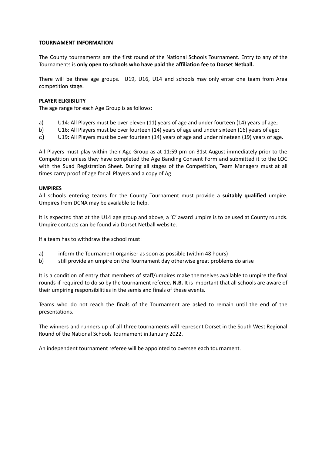#### **TOURNAMENT INFORMATION**

The County tournaments are the first round of the National Schools Tournament. Entry to any of the Tournaments is **only open to schools who have paid the affiliation fee to Dorset Netball.**

There will be three age groups. U19, U16, U14 and schools may only enter one team from Area competition stage.

#### **PLAYER ELIGIBILITY**

The age range for each Age Group is as follows:

- a) U14: All Players must be over eleven (11) years of age and under fourteen (14) years of age;
- b) U16: All Players must be over fourteen (14) years of age and under sixteen (16) years of age;
- c) U19**:** All Players must be over fourteen (14) years of age and under nineteen (19) years of age.

All Players must play within their Age Group as at 11:59 pm on 31st August immediately prior to the Competition unless they have completed the Age Banding Consent Form and submitted it to the LOC with the Suad Registration Sheet. During all stages of the Competition, Team Managers must at all times carry proof of age for all Players and a copy of Ag

#### **UMPIRES**

All schools entering teams for the County Tournament must provide a **suitably qualified** umpire. Umpires from DCNA may be available to help.

It is expected that at the U14 age group and above, a 'C' award umpire is to be used at County rounds. Umpire contacts can be found via Dorset Netball website.

If a team has to withdraw the school must:

- a) inform the Tournament organiser as soon as possible (within 48 hours)
- b) still provide an umpire on the Tournament day otherwise great problems do arise

It is a condition of entry that members of staff/umpires make themselves available to umpire the final rounds if required to do so by the tournament referee**. N.B.** It is important that all schools are aware of their umpiring responsibilities in the semis and finals of these events.

Teams who do not reach the finals of the Tournament are asked to remain until the end of the presentations.

The winners and runners up of all three tournaments will represent Dorset in the South West Regional Round of the National Schools Tournament in January 2022.

An independent tournament referee will be appointed to oversee each tournament.